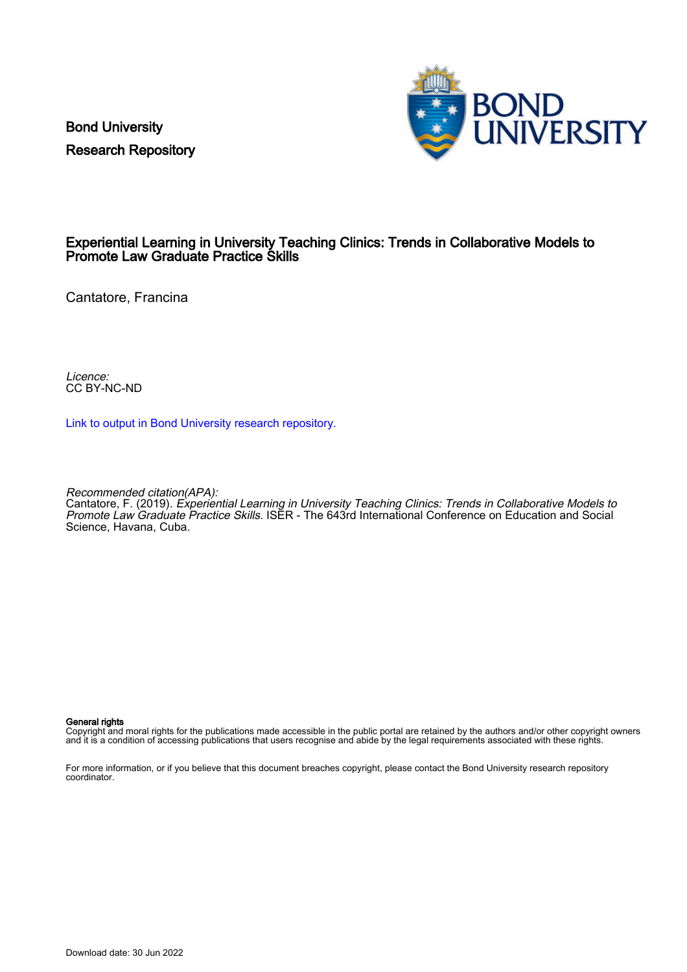Bond University Research Repository



# Experiential Learning in University Teaching Clinics: Trends in Collaborative Models to Promote Law Graduate Practice Skills

Cantatore, Francina

Licence: CC BY-NC-ND

[Link to output in Bond University research repository.](https://research.bond.edu.au/en/publications/671ae922-cf5e-487d-b465-4b7cfc366557)

Recommended citation(APA):

Cantatore, F. (2019). Experiential Learning in University Teaching Clinics: Trends in Collaborative Models to Promote Law Graduate Practice Skills. ISER - The 643rd International Conference on Education and Social Science, Havana, Cuba.

#### General rights

Copyright and moral rights for the publications made accessible in the public portal are retained by the authors and/or other copyright owners and it is a condition of accessing publications that users recognise and abide by the legal requirements associated with these rights.

For more information, or if you believe that this document breaches copyright, please contact the Bond University research repository coordinator.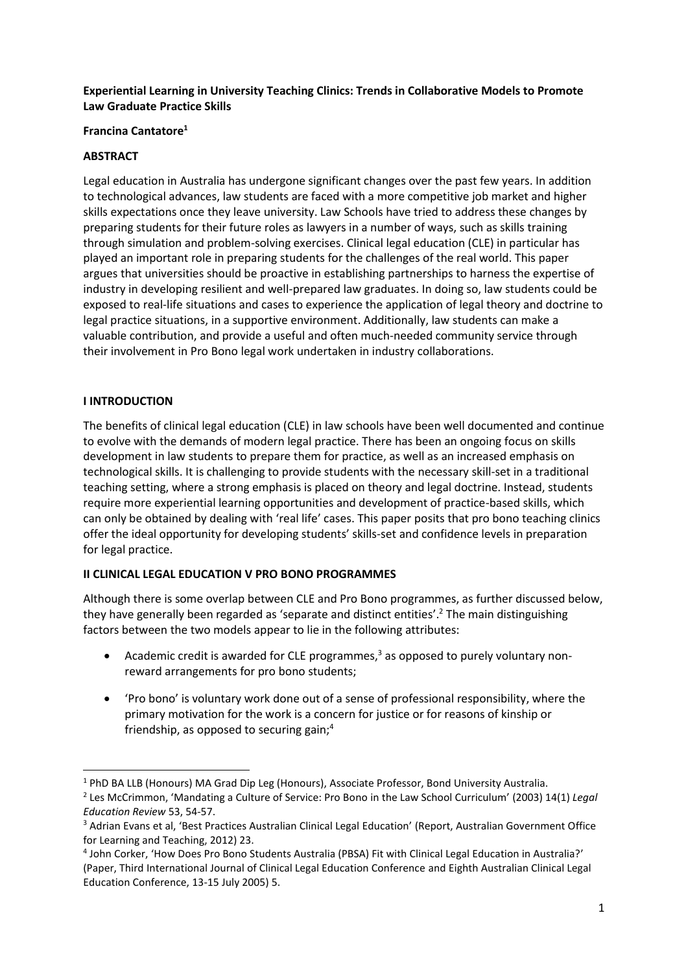#### **Experiential Learning in University Teaching Clinics: Trends in Collaborative Models to Promote Law Graduate Practice Skills**

#### **Francina Cantatore<sup>1</sup>**

#### **ABSTRACT**

Legal education in Australia has undergone significant changes over the past few years. In addition to technological advances, law students are faced with a more competitive job market and higher skills expectations once they leave university. Law Schools have tried to address these changes by preparing students for their future roles as lawyers in a number of ways, such as skills training through simulation and problem-solving exercises. Clinical legal education (CLE) in particular has played an important role in preparing students for the challenges of the real world. This paper argues that universities should be proactive in establishing partnerships to harness the expertise of industry in developing resilient and well-prepared law graduates. In doing so, law students could be exposed to real-life situations and cases to experience the application of legal theory and doctrine to legal practice situations, in a supportive environment. Additionally, law students can make a valuable contribution, and provide a useful and often much-needed community service through their involvement in Pro Bono legal work undertaken in industry collaborations.

#### **I INTRODUCTION**

The benefits of clinical legal education (CLE) in law schools have been well documented and continue to evolve with the demands of modern legal practice. There has been an ongoing focus on skills development in law students to prepare them for practice, as well as an increased emphasis on technological skills. It is challenging to provide students with the necessary skill-set in a traditional teaching setting, where a strong emphasis is placed on theory and legal doctrine. Instead, students require more experiential learning opportunities and development of practice-based skills, which can only be obtained by dealing with 'real life' cases. This paper posits that pro bono teaching clinics offer the ideal opportunity for developing students' skills-set and confidence levels in preparation for legal practice.

# **II CLINICAL LEGAL EDUCATION V PRO BONO PROGRAMMES**

Although there is some overlap between CLE and Pro Bono programmes, as further discussed below, they have generally been regarded as 'separate and distinct entities'.<sup>2</sup> The main distinguishing factors between the two models appear to lie in the following attributes:

- Academic credit is awarded for CLE programmes, $3$  as opposed to purely voluntary nonreward arrangements for pro bono students;
- 'Pro bono' is voluntary work done out of a sense of professional responsibility, where the primary motivation for the work is a concern for justice or for reasons of kinship or friendship, as opposed to securing gain;<sup>4</sup>

<sup>1</sup> PhD BA LLB (Honours) MA Grad Dip Leg (Honours), Associate Professor, Bond University Australia.

<sup>2</sup> Les McCrimmon, 'Mandating a Culture of Service: Pro Bono in the Law School Curriculum' (2003) 14(1) *Legal Education Review* 53, 54-57.

<sup>&</sup>lt;sup>3</sup> Adrian Evans et al, 'Best Practices Australian Clinical Legal Education' (Report, Australian Government Office for Learning and Teaching, 2012) 23.

<sup>4</sup> John Corker, 'How Does Pro Bono Students Australia (PBSA) Fit with Clinical Legal Education in Australia?' (Paper, Third International Journal of Clinical Legal Education Conference and Eighth Australian Clinical Legal Education Conference, 13-15 July 2005) 5.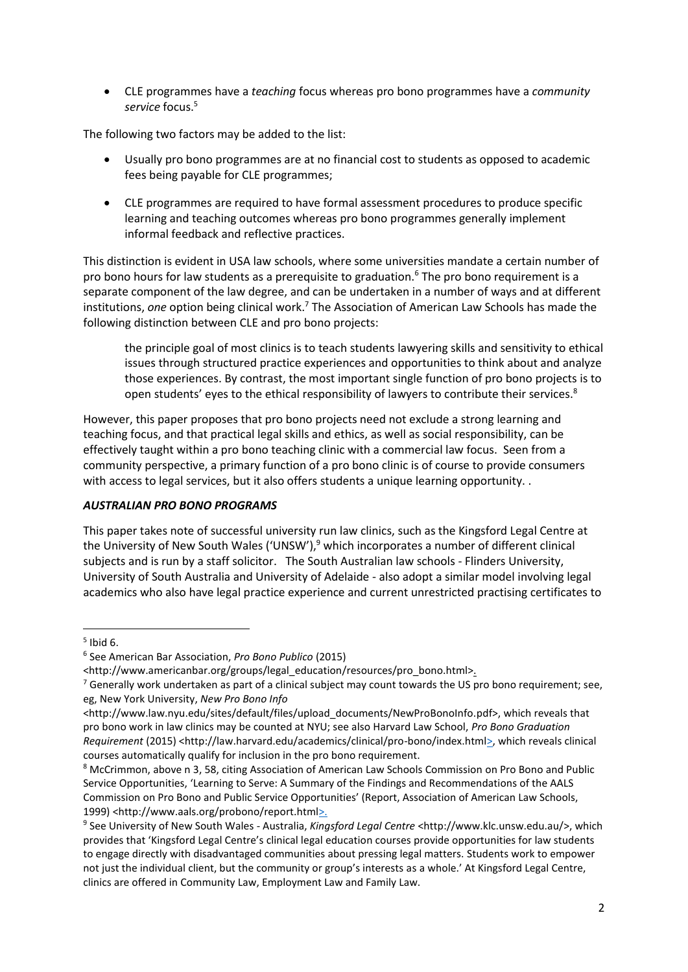• CLE programmes have a *teaching* focus whereas pro bono programmes have a *community*  service focus.<sup>5</sup>

The following two factors may be added to the list:

- Usually pro bono programmes are at no financial cost to students as opposed to academic fees being payable for CLE programmes;
- CLE programmes are required to have formal assessment procedures to produce specific learning and teaching outcomes whereas pro bono programmes generally implement informal feedback and reflective practices.

This distinction is evident in USA law schools, where some universities mandate a certain number of pro bono hours for law students as a prerequisite to graduation.<sup>6</sup> The pro bono requirement is a separate component of the law degree, and can be undertaken in a number of ways and at different institutions, *one* option being clinical work.<sup>7</sup> The Association of American Law Schools has made the following distinction between CLE and pro bono projects:

the principle goal of most clinics is to teach students lawyering skills and sensitivity to ethical issues through structured practice experiences and opportunities to think about and analyze those experiences. By contrast, the most important single function of pro bono projects is to open students' eyes to the ethical responsibility of lawyers to contribute their services.<sup>8</sup>

However, this paper proposes that pro bono projects need not exclude a strong learning and teaching focus, and that practical legal skills and ethics, as well as social responsibility, can be effectively taught within a pro bono teaching clinic with a commercial law focus. Seen from a community perspective, a primary function of a pro bono clinic is of course to provide consumers with access to legal services, but it also offers students a unique learning opportunity. .

# *AUSTRALIAN PRO BONO PROGRAMS*

This paper takes note of successful university run law clinics, such as the Kingsford Legal Centre at the University of New South Wales ('UNSW'),<sup>9</sup> which incorporates a number of different clinical subjects and is run by a staff solicitor. The South Australian law schools - Flinders University, University of South Australia and University of Adelaide - also adopt a similar model involving legal academics who also have legal practice experience and current unrestricted practising certificates to

<sup>5</sup> Ibid 6.

<sup>6</sup> See American Bar Association, *Pro Bono Publico* (2015)

<sup>&</sup>lt;http://www.americanbar.org/groups/legal\_education/resources/pro\_bono.html>.

<sup>&</sup>lt;sup>7</sup> Generally work undertaken as part of a clinical subject may count towards the US pro bono requirement; see, eg, New York University, *New Pro Bono Info*

<sup>&</sup>lt;http://www.law.nyu.edu/sites/default/files/upload\_documents/NewProBonoInfo.pdf>, which reveals that pro bono work in law clinics may be counted at NYU; see also Harvard Law School, *Pro Bono Graduation Requirement* (2015) <http://law.harvard.edu/academics/clinical/pro-bono/index.html>, which reveals clinical courses automatically qualify for inclusion in the pro bono requirement.

<sup>8</sup> McCrimmon, above n 3, 58, citing Association of American Law Schools Commission on Pro Bono and Public Service Opportunities, 'Learning to Serve: A Summary of the Findings and Recommendations of the AALS Commission on Pro Bono and Public Service Opportunities' (Report, Association of American Law Schools, 1999) <http://www.aals.org/probono/report.html>.

<sup>9</sup> See University of New South Wales - Australia, *Kingsford Legal Centre* <http://www.klc.unsw.edu.au/>, which provides that 'Kingsford Legal Centre's clinical legal education courses provide opportunities for law students to engage directly with disadvantaged communities about pressing legal matters. Students work to empower not just the individual client, but the community or group's interests as a whole.' At Kingsford Legal Centre, clinics are offered in Community Law, Employment Law and Family Law.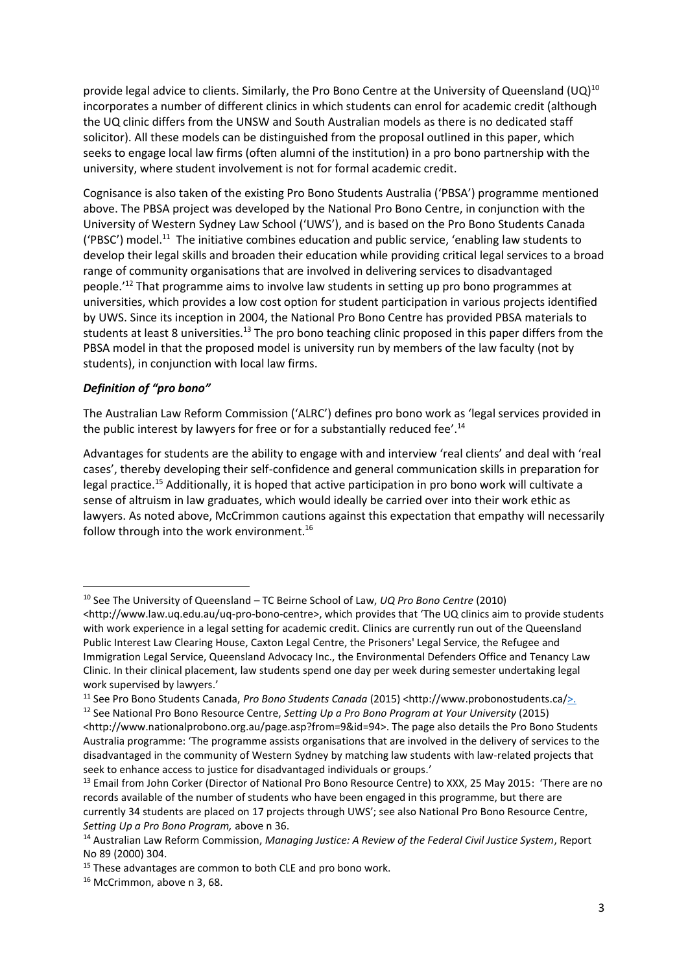provide legal advice to clients. Similarly, the Pro Bono Centre at the University of Queensland (UQ)<sup>10</sup> incorporates a number of different clinics in which students can enrol for academic credit (although the UQ clinic differs from the UNSW and South Australian models as there is no dedicated staff solicitor). All these models can be distinguished from the proposal outlined in this paper, which seeks to engage local law firms (often alumni of the institution) in a pro bono partnership with the university, where student involvement is not for formal academic credit.

Cognisance is also taken of the existing Pro Bono Students Australia ('PBSA') programme mentioned above. The PBSA project was developed by the National Pro Bono Centre, in conjunction with the [University of Western Sydney Law School](http://www.uws.edu.au/law/sol/pro_bono_students_australia) ('UWS'), and is based on the [Pro Bono Students Canada](http://www.probonostudents.ca/) ('PBSC') model.<sup>11</sup> The initiative combines education and public service, 'enabling law students to develop their legal skills and broaden their education while providing critical legal services to a broad range of community organisations that are involved in delivering services to disadvantaged people.'<sup>12</sup> That programme aims to involve law students in setting up pro bono programmes at universities, which provides a low cost option for student participation in various projects identified by UWS. Since its inception in 2004, the National Pro Bono Centre has provided PBSA materials to students at least 8 universities.<sup>13</sup> The pro bono teaching clinic proposed in this paper differs from the PBSA model in that the proposed model is university run by members of the law faculty (not by students), in conjunction with local law firms.

# *Definition of "pro bono"*

The Australian Law Reform Commission ('ALRC') defines pro bono work as 'legal services provided in the public interest by lawyers for free or for a substantially reduced fee'.<sup>14</sup>

Advantages for students are the ability to engage with and interview 'real clients' and deal with 'real cases', thereby developing their self-confidence and general communication skills in preparation for legal practice.<sup>15</sup> Additionally, it is hoped that active participation in pro bono work will cultivate a sense of altruism in law graduates, which would ideally be carried over into their work ethic as lawyers. As noted above, McCrimmon cautions against this expectation that empathy will necessarily follow through into the work environment.<sup>16</sup>

<sup>10</sup> See The University of Queensland – TC Beirne School of Law, *UQ Pro Bono Centre* (2010) <http://www.law.uq.edu.au/uq-pro-bono-centre>, which provides that 'The UQ clinics aim to provide students with work experience in a legal setting for academic credit. Clinics are currently run out of the Queensland Public Interest Law Clearing House, Caxton Legal Centre, the Prisoners' Legal Service, the Refugee and Immigration Legal Service, Queensland Advocacy Inc., the Environmental Defenders Office and Tenancy Law Clinic. In their clinical placement, law students spend one day per week during semester undertaking legal work supervised by lawyers.'

<sup>11</sup> See Pro Bono Students Canada, *Pro Bono Students Canada* (2015) <http://www.probonostudents.ca/>. <sup>12</sup> See National Pro Bono Resource Centre, *Setting Up a Pro Bono Program at Your University* (2015)

<sup>&</sup>lt;http://www.nationalprobono.org.au/page.asp?from=9&id=94>. The page also details the Pro Bono Students Australia programme: 'The programme assists organisations that are involved in the delivery of services to the disadvantaged in the community of Western Sydney by matching law students with law-related projects that seek to enhance access to justice for disadvantaged individuals or groups.'

<sup>&</sup>lt;sup>13</sup> Email from John Corker (Director of National Pro Bono Resource Centre) to XXX, 25 May 2015: 'There are no records available of the number of students who have been engaged in this programme, but there are currently 34 students are placed on 17 projects through UWS'; see also National Pro Bono Resource Centre, *Setting Up a Pro Bono Program,* above n 36.

<sup>14</sup> Australian Law Reform Commission, *Managing Justice: A Review of the Federal Civil Justice System*, Report No 89 (2000) 304.

 $15$  These advantages are common to both CLE and pro bono work.

<sup>16</sup> McCrimmon, above n 3, 68.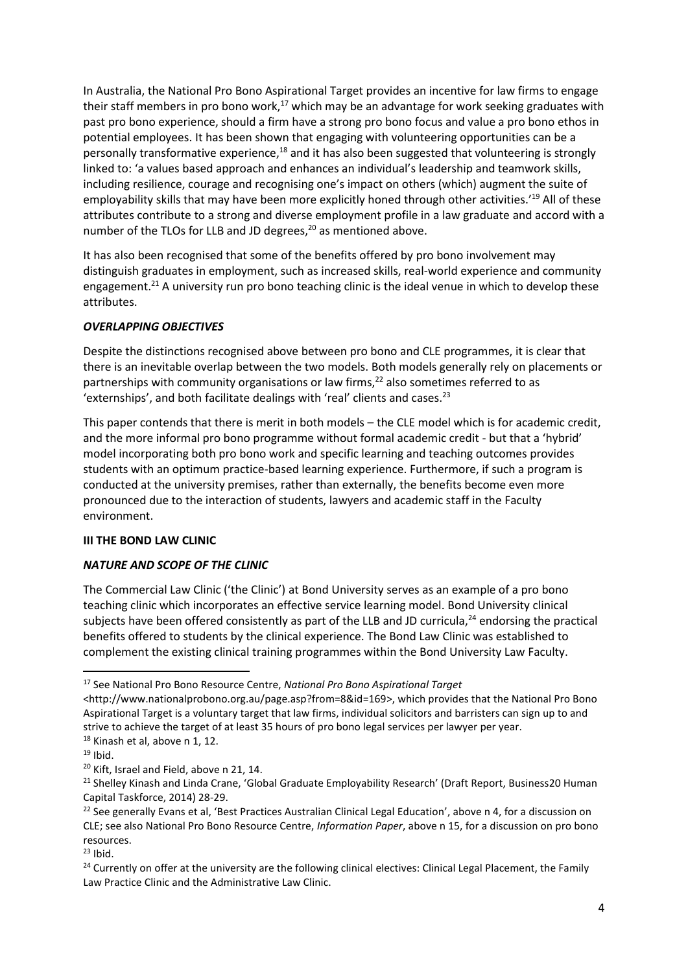In Australia, the National Pro Bono Aspirational Target provides an incentive for law firms to engage their staff members in pro bono work, $17$  which may be an advantage for work seeking graduates with past pro bono experience, should a firm have a strong pro bono focus and value a pro bono ethos in potential employees. It has been shown that engaging with volunteering opportunities can be a personally transformative experience,<sup>18</sup> and it has also been suggested that volunteering is strongly linked to: 'a values based approach and enhances an individual's leadership and teamwork skills, including resilience, courage and recognising one's impact on others (which) augment the suite of employability skills that may have been more explicitly honed through other activities.'<sup>19</sup> All of these attributes contribute to a strong and diverse employment profile in a law graduate and accord with a number of the TLOs for LLB and JD degrees, <sup>20</sup> as mentioned above.

It has also been recognised that some of the benefits offered by pro bono involvement may distinguish graduates in employment, such as increased skills, real-world experience and community engagement.<sup>21</sup> A university run pro bono teaching clinic is the ideal venue in which to develop these attributes.

# *OVERLAPPING OBJECTIVES*

Despite the distinctions recognised above between pro bono and CLE programmes, it is clear that there is an inevitable overlap between the two models. Both models generally rely on placements or partnerships with community organisations or law firms, $^{22}$  also sometimes referred to as 'externships', and both facilitate dealings with 'real' clients and cases.<sup>23</sup>

This paper contends that there is merit in both models – the CLE model which is for academic credit, and the more informal pro bono programme without formal academic credit - but that a 'hybrid' model incorporating both pro bono work and specific learning and teaching outcomes provides students with an optimum practice-based learning experience. Furthermore, if such a program is conducted at the university premises, rather than externally, the benefits become even more pronounced due to the interaction of students, lawyers and academic staff in the Faculty environment.

#### **III THE BOND LAW CLINIC**

# *NATURE AND SCOPE OF THE CLINIC*

The Commercial Law Clinic ('the Clinic') at Bond University serves as an example of a pro bono teaching clinic which incorporates an effective service learning model. Bond University clinical subjects have been offered consistently as part of the LLB and JD curricula, $^{24}$  endorsing the practical benefits offered to students by the clinical experience. The Bond Law Clinic was established to complement the existing clinical training programmes within the Bond University Law Faculty.

<sup>17</sup> See National Pro Bono Resource Centre, *National Pro Bono Aspirational Target*

<sup>&</sup>lt;http://www.nationalprobono.org.au/page.asp?from=8&id=169>, which provides that the National Pro Bono Aspirational Target is a voluntary target that law firms, individual solicitors and barristers can sign up to and strive to achieve the target of at least 35 hours o[f pro bono legal services](http://www.nationalprobono.org.au/page.asp?from=2&id=112#def) per lawyer per year.

<sup>&</sup>lt;sup>18</sup> Kinash et al, above n 1, 12.

 $19$  Ibid.

<sup>&</sup>lt;sup>20</sup> Kift, Israel and Field, above n 21, 14.

<sup>&</sup>lt;sup>21</sup> Shelley Kinash and Linda Crane, 'Global Graduate Employability Research' (Draft Report, Business20 Human Capital Taskforce, 2014) 28-29.

<sup>&</sup>lt;sup>22</sup> See generally Evans et al, 'Best Practices Australian Clinical Legal Education', above n 4, for a discussion on CLE; see also National Pro Bono Resource Centre, *Information Paper*, above n 15, for a discussion on pro bono resources.

 $23$  Ibid.

<sup>&</sup>lt;sup>24</sup> Currently on offer at the university are the following clinical electives: Clinical Legal Placement, the Family Law Practice Clinic and the Administrative Law Clinic.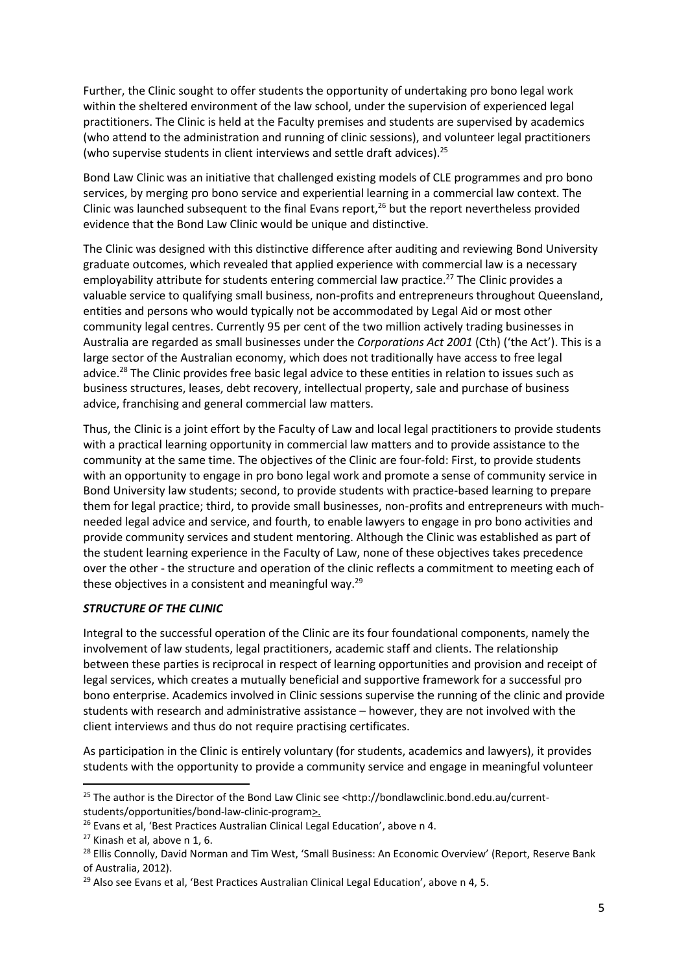Further, the Clinic sought to offer students the opportunity of undertaking pro bono legal work within the sheltered environment of the law school, under the supervision of experienced legal practitioners. The Clinic is held at the Faculty premises and students are supervised by academics (who attend to the administration and running of clinic sessions), and volunteer legal practitioners (who supervise students in client interviews and settle draft advices).<sup>25</sup>

Bond Law Clinic was an initiative that challenged existing models of CLE programmes and pro bono services, by merging pro bono service and experiential learning in a commercial law context. The Clinic was launched subsequent to the final Evans report,<sup>26</sup> but the report nevertheless provided evidence that the Bond Law Clinic would be unique and distinctive.

The Clinic was designed with this distinctive difference after auditing and reviewing Bond University graduate outcomes, which revealed that applied experience with commercial law is a necessary employability attribute for students entering commercial law practice.<sup>27</sup> The Clinic provides a valuable service to qualifying small business, non-profits and entrepreneurs throughout Queensland, entities and persons who would typically not be accommodated by Legal Aid or most other community legal centres. Currently 95 per cent of the two million actively trading businesses in Australia are regarded as small businesses under the *Corporations Act 2001* (Cth) ('the Act'). This is a large sector of the Australian economy, which does not traditionally have access to free legal advice.<sup>28</sup> The Clinic provides free basic legal advice to these entities in relation to issues such as business structures, leases, debt recovery, intellectual property, sale and purchase of business advice, franchising and general commercial law matters.

Thus, the Clinic is a joint effort by the Faculty of Law and local legal practitioners to provide students with a practical learning opportunity in commercial law matters and to provide assistance to the community at the same time. The objectives of the Clinic are four-fold: First, to provide students with an opportunity to engage in pro bono legal work and promote a sense of community service in Bond University law students; second, to provide students with practice-based learning to prepare them for legal practice; third, to provide small businesses, non-profits and entrepreneurs with muchneeded legal advice and service, and fourth, to enable lawyers to engage in pro bono activities and provide community services and student mentoring. Although the Clinic was established as part of the student learning experience in the Faculty of Law, none of these objectives takes precedence over the other - the structure and operation of the clinic reflects a commitment to meeting each of these objectives in a consistent and meaningful way. $29$ 

#### *STRUCTURE OF THE CLINIC*

Integral to the successful operation of the Clinic are its four foundational components, namely the involvement of law students, legal practitioners, academic staff and clients. The relationship between these parties is reciprocal in respect of learning opportunities and provision and receipt of legal services, which creates a mutually beneficial and supportive framework for a successful pro bono enterprise. Academics involved in Clinic sessions supervise the running of the clinic and provide students with research and administrative assistance – however, they are not involved with the client interviews and thus do not require practising certificates.

As participation in the Clinic is entirely voluntary (for students, academics and lawyers), it provides students with the opportunity to provide a community service and engage in meaningful volunteer

<sup>&</sup>lt;sup>25</sup> The author is the Director of the Bond Law Clinic see <http://bondlawclinic.bond.edu.au/currentstudents/opportunities/bond-law-clinic-program>.

<sup>&</sup>lt;sup>26</sup> Evans et al, 'Best Practices Australian Clinical Legal Education', above n 4.

 $27$  Kinash et al, above n 1, 6.

<sup>&</sup>lt;sup>28</sup> Ellis Connolly, David Norman and Tim West, 'Small Business: An Economic Overview' (Report, Reserve Bank of Australia, 2012).

<sup>&</sup>lt;sup>29</sup> Also see Evans et al, 'Best Practices Australian Clinical Legal Education', above n 4, 5.